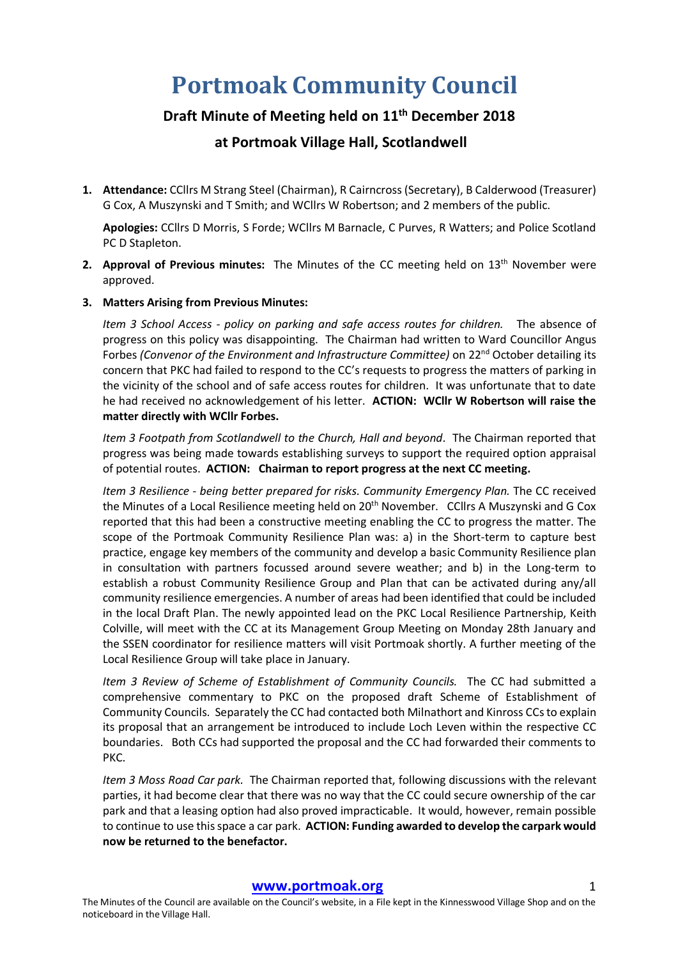# **Portmoak Community Council**

## **Draft Minute of Meeting held on 11th December 2018**

### **at Portmoak Village Hall, Scotlandwell**

**1. Attendance:** CCllrs M Strang Steel (Chairman), R Cairncross (Secretary), B Calderwood (Treasurer) G Cox, A Muszynski and T Smith; and WCllrs W Robertson; and 2 members of the public.

**Apologies:** CCllrs D Morris, S Forde; WCllrs M Barnacle, C Purves, R Watters; and Police Scotland PC D Stapleton.

**2. Approval of Previous minutes:** The Minutes of the CC meeting held on 13th November were approved.

#### **3. Matters Arising from Previous Minutes:**

*Item 3 School Access - policy on parking and safe access routes for children.* The absence of progress on this policy was disappointing. The Chairman had written to Ward Councillor Angus Forbes *(Convenor of the Environment and Infrastructure Committee)* on 22<sup>nd</sup> October detailing its concern that PKC had failed to respond to the CC's requests to progress the matters of parking in the vicinity of the school and of safe access routes for children. It was unfortunate that to date he had received no acknowledgement of his letter. **ACTION: WCllr W Robertson will raise the matter directly with WCllr Forbes.**

*Item 3 Footpath from Scotlandwell to the Church, Hall and beyond*. The Chairman reported that progress was being made towards establishing surveys to support the required option appraisal of potential routes. **ACTION: Chairman to report progress at the next CC meeting.**

*Item 3 Resilience - being better prepared for risks. Community Emergency Plan.* The CC received the Minutes of a Local Resilience meeting held on 20<sup>th</sup> November. CCllrs A Muszynski and G Cox reported that this had been a constructive meeting enabling the CC to progress the matter. The scope of the Portmoak Community Resilience Plan was: a) in the Short-term to capture best practice, engage key members of the community and develop a basic Community Resilience plan in consultation with partners focussed around severe weather; and b) in the Long-term to establish a robust Community Resilience Group and Plan that can be activated during any/all community resilience emergencies. A number of areas had been identified that could be included in the local Draft Plan. The newly appointed lead on the PKC Local Resilience Partnership, Keith Colville, will meet with the CC at its Management Group Meeting on Monday 28th January and the SSEN coordinator for resilience matters will visit Portmoak shortly. A further meeting of the Local Resilience Group will take place in January.

*Item 3 Review of Scheme of Establishment of Community Councils.* The CC had submitted a comprehensive commentary to PKC on the proposed draft Scheme of Establishment of Community Councils. Separately the CC had contacted both Milnathort and Kinross CCs to explain its proposal that an arrangement be introduced to include Loch Leven within the respective CC boundaries. Both CCs had supported the proposal and the CC had forwarded their comments to PKC.

*Item 3 Moss Road Car park.* The Chairman reported that, following discussions with the relevant parties, it had become clear that there was no way that the CC could secure ownership of the car park and that a leasing option had also proved impracticable. It would, however, remain possible to continue to use this space a car park. **ACTION: Funding awarded to develop the carpark would now be returned to the benefactor.**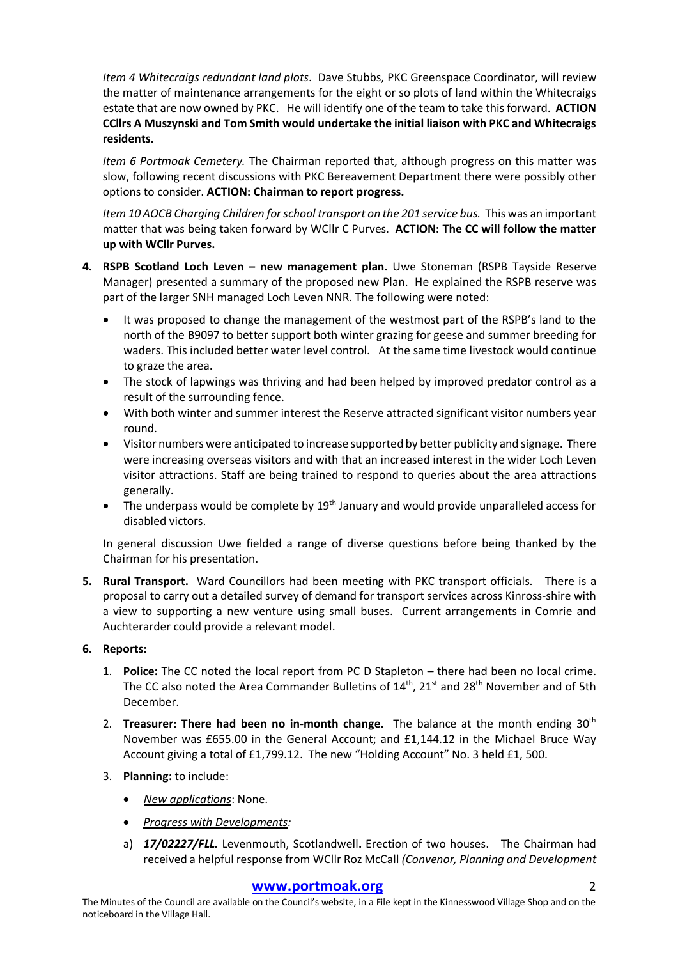*Item 4 Whitecraigs redundant land plots*. Dave Stubbs, PKC Greenspace Coordinator, will review the matter of maintenance arrangements for the eight or so plots of land within the Whitecraigs estate that are now owned by PKC. He will identify one of the team to take this forward. **ACTION CCllrs A Muszynski and Tom Smith would undertake the initial liaison with PKC and Whitecraigs residents.**

*Item 6 Portmoak Cemetery.* The Chairman reported that, although progress on this matter was slow, following recent discussions with PKC Bereavement Department there were possibly other options to consider. **ACTION: Chairman to report progress.**

*Item 10 AOCB Charging Children for school transport on the 201 service bus.* This was an important matter that was being taken forward by WCllr C Purves. **ACTION: The CC will follow the matter up with WCllr Purves.**

- **4. RSPB Scotland Loch Leven – new management plan.** Uwe Stoneman (RSPB Tayside Reserve Manager) presented a summary of the proposed new Plan. He explained the RSPB reserve was part of the larger SNH managed Loch Leven NNR. The following were noted:
	- It was proposed to change the management of the westmost part of the RSPB's land to the north of the B9097 to better support both winter grazing for geese and summer breeding for waders. This included better water level control. At the same time livestock would continue to graze the area.
	- The stock of lapwings was thriving and had been helped by improved predator control as a result of the surrounding fence.
	- With both winter and summer interest the Reserve attracted significant visitor numbers year round.
	- Visitor numbers were anticipated to increase supported by better publicity and signage. There were increasing overseas visitors and with that an increased interest in the wider Loch Leven visitor attractions. Staff are being trained to respond to queries about the area attractions generally.
	- The underpass would be complete by  $19<sup>th</sup>$  January and would provide unparalleled access for disabled victors.

In general discussion Uwe fielded a range of diverse questions before being thanked by the Chairman for his presentation.

**5. Rural Transport.** Ward Councillors had been meeting with PKC transport officials. There is a proposal to carry out a detailed survey of demand for transport services across Kinross-shire with a view to supporting a new venture using small buses. Current arrangements in Comrie and Auchterarder could provide a relevant model.

#### **6. Reports:**

- 1. **Police:** The CC noted the local report from PC D Stapleton there had been no local crime. The CC also noted the Area Commander Bulletins of  $14<sup>th</sup>$ ,  $21<sup>st</sup>$  and  $28<sup>th</sup>$  November and of 5th December.
- 2. **Treasurer: There had been no in-month change.** The balance at the month ending 30th November was £655.00 in the General Account; and £1,144.12 in the Michael Bruce Way Account giving a total of £1,799.12. The new "Holding Account" No. 3 held £1, 500.
- 3. **Planning:** to include:
	- *New applications*: None.
	- *Progress with Developments:*
	- a) *17/02227/FLL.* Levenmouth, Scotlandwell**.** Erection of two houses. The Chairman had received a helpful response from WCllr Roz McCall *(Convenor, Planning and Development*

#### **www.portmoak.org** 2